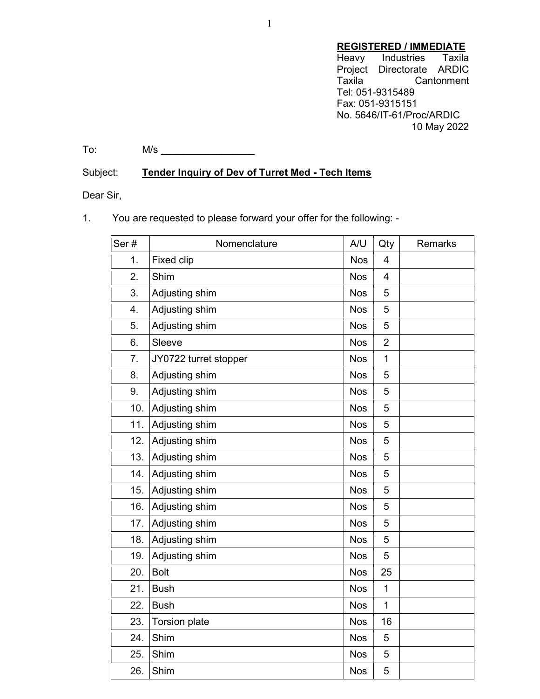# **REGISTERED / IMMEDIATE**<br>Heavy Industries Taxila

Heavy Industries Project Directorate ARDIC Taxila Cantonment Tel: 051-9315489 Fax: 051-9315151 No. 5646/IT-61/Proc/ARDIC 10 May 2022

To: M/s \_\_\_\_\_\_\_\_\_\_\_\_\_\_\_\_\_

## Subject: Tender Inquiry of Dev of Turret Med - Tech Items

Dear Sir,

### 1. You are requested to please forward your offer for the following: -

| Ser# | Nomenclature          | A/U        | Qty            | <b>Remarks</b> |
|------|-----------------------|------------|----------------|----------------|
| 1.   | <b>Fixed clip</b>     | <b>Nos</b> | 4              |                |
| 2.   | Shim                  | <b>Nos</b> | $\overline{4}$ |                |
| 3.   | Adjusting shim        | <b>Nos</b> | 5              |                |
| 4.   | Adjusting shim        | <b>Nos</b> | 5              |                |
| 5.   | Adjusting shim        | <b>Nos</b> | 5              |                |
| 6.   | Sleeve                | <b>Nos</b> | $\overline{2}$ |                |
| 7.   | JY0722 turret stopper | <b>Nos</b> | $\mathbf 1$    |                |
| 8.   | Adjusting shim        | <b>Nos</b> | 5              |                |
| 9.   | Adjusting shim        | <b>Nos</b> | 5              |                |
| 10.  | Adjusting shim        | <b>Nos</b> | 5              |                |
| 11.  | Adjusting shim        | <b>Nos</b> | 5              |                |
| 12.  | Adjusting shim        | <b>Nos</b> | 5              |                |
| 13.  | Adjusting shim        | <b>Nos</b> | 5              |                |
| 14.  | Adjusting shim        | <b>Nos</b> | 5              |                |
| 15.  | Adjusting shim        | <b>Nos</b> | 5              |                |
| 16.  | Adjusting shim        | <b>Nos</b> | 5              |                |
| 17.  | Adjusting shim        | <b>Nos</b> | 5              |                |
| 18.  | Adjusting shim        | <b>Nos</b> | 5              |                |
| 19.  | Adjusting shim        | <b>Nos</b> | 5              |                |
| 20.  | <b>Bolt</b>           | <b>Nos</b> | 25             |                |
| 21.  | <b>Bush</b>           | <b>Nos</b> | $\mathbf{1}$   |                |
| 22.  | <b>Bush</b>           | <b>Nos</b> | $\mathbf{1}$   |                |
| 23.  | <b>Torsion plate</b>  | <b>Nos</b> | 16             |                |
| 24.  | Shim                  | <b>Nos</b> | 5              |                |
| 25.  | Shim                  | <b>Nos</b> | 5              |                |
| 26.  | Shim                  | <b>Nos</b> | 5              |                |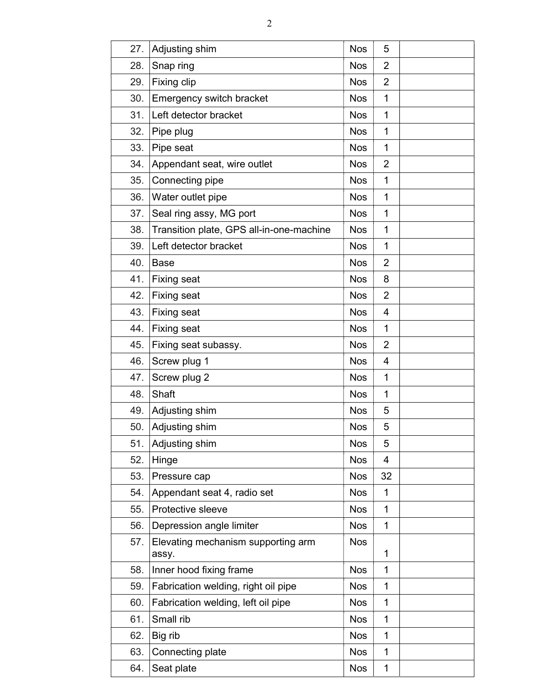| 27. | Adjusting shim                              | <b>Nos</b> | 5              |  |
|-----|---------------------------------------------|------------|----------------|--|
| 28. | Snap ring                                   | <b>Nos</b> | $\overline{2}$ |  |
| 29. | Fixing clip                                 | <b>Nos</b> | $\overline{2}$ |  |
| 30. | Emergency switch bracket                    | <b>Nos</b> | $\mathbf{1}$   |  |
| 31. | Left detector bracket                       | <b>Nos</b> | 1              |  |
| 32. | Pipe plug                                   | <b>Nos</b> | $\mathbf{1}$   |  |
| 33. | Pipe seat                                   | <b>Nos</b> | 1              |  |
| 34. | Appendant seat, wire outlet                 | <b>Nos</b> | $\overline{2}$ |  |
| 35. | Connecting pipe                             | <b>Nos</b> | 1              |  |
| 36. | Water outlet pipe                           | <b>Nos</b> | 1              |  |
| 37. | Seal ring assy, MG port                     | <b>Nos</b> | $\mathbf{1}$   |  |
| 38. | Transition plate, GPS all-in-one-machine    | <b>Nos</b> | $\mathbf{1}$   |  |
| 39. | Left detector bracket                       | <b>Nos</b> | $\mathbf{1}$   |  |
| 40. | <b>Base</b>                                 | <b>Nos</b> | $\overline{2}$ |  |
| 41. | <b>Fixing seat</b>                          | <b>Nos</b> | 8              |  |
| 42. | <b>Fixing seat</b>                          | <b>Nos</b> | $\overline{2}$ |  |
| 43. | <b>Fixing seat</b>                          | <b>Nos</b> | 4              |  |
| 44. | <b>Fixing seat</b>                          | <b>Nos</b> | 1              |  |
| 45. | Fixing seat subassy.                        | <b>Nos</b> | 2              |  |
| 46. | Screw plug 1                                | <b>Nos</b> | 4              |  |
| 47. | Screw plug 2                                | <b>Nos</b> | $\mathbf{1}$   |  |
| 48. | Shaft                                       | <b>Nos</b> | $\mathbf{1}$   |  |
| 49. | Adjusting shim                              | <b>Nos</b> | 5              |  |
| 50. | Adjusting shim                              | <b>Nos</b> | 5              |  |
| 51. | Adjusting shim                              | <b>Nos</b> | 5              |  |
| 52. | Hinge                                       | <b>Nos</b> | 4              |  |
| 53. | Pressure cap                                | <b>Nos</b> | 32             |  |
| 54. | Appendant seat 4, radio set                 | <b>Nos</b> | 1              |  |
| 55. | Protective sleeve                           | <b>Nos</b> | 1              |  |
| 56. | Depression angle limiter                    | <b>Nos</b> | 1              |  |
| 57. | Elevating mechanism supporting arm<br>assy. | <b>Nos</b> | $\mathbf{1}$   |  |
| 58. | Inner hood fixing frame                     | <b>Nos</b> | 1              |  |
| 59. | Fabrication welding, right oil pipe         | <b>Nos</b> | 1              |  |
| 60. | Fabrication welding, left oil pipe          | <b>Nos</b> | 1              |  |
| 61. | Small rib                                   | <b>Nos</b> | 1              |  |
| 62. | Big rib                                     | <b>Nos</b> | 1              |  |
| 63. | Connecting plate                            | <b>Nos</b> | 1              |  |
| 64. | Seat plate                                  | <b>Nos</b> | 1              |  |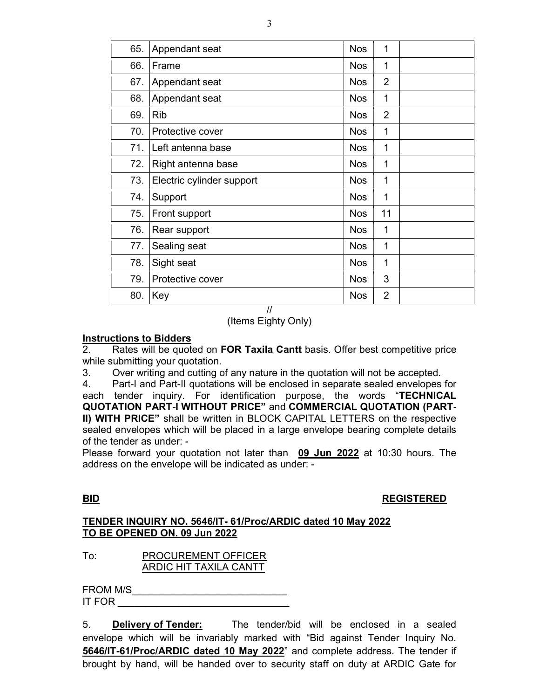| 65. | Appendant seat            | <b>Nos</b> | 1              |  |
|-----|---------------------------|------------|----------------|--|
| 66. | Frame                     | <b>Nos</b> | 1              |  |
| 67. | Appendant seat            | <b>Nos</b> | $\overline{2}$ |  |
| 68. | Appendant seat            | <b>Nos</b> | 1              |  |
| 69. | <b>Rib</b>                | <b>Nos</b> | $\overline{2}$ |  |
| 70. | Protective cover          | <b>Nos</b> | 1              |  |
| 71. | Left antenna base         | <b>Nos</b> | 1              |  |
| 72. | Right antenna base        | <b>Nos</b> | 1              |  |
| 73. | Electric cylinder support | <b>Nos</b> | 1              |  |
| 74. | Support                   | <b>Nos</b> | 1              |  |
| 75. | Front support             | <b>Nos</b> | 11             |  |
| 76. | Rear support              | <b>Nos</b> | 1              |  |
| 77. | Sealing seat              | <b>Nos</b> | 1              |  |
| 78. | Sight seat                | <b>Nos</b> | 1              |  |
| 79. | Protective cover          | <b>Nos</b> | 3              |  |
| 80. | Key<br>$\mathbf{r}$       | <b>Nos</b> | 2              |  |

//

(Items Eighty Only)

### Instructions to Bidders

2. Rates will be quoted on FOR Taxila Cantt basis. Offer best competitive price while submitting your quotation.

3. Over writing and cutting of any nature in the quotation will not be accepted.

4. Part-I and Part-II quotations will be enclosed in separate sealed envelopes for each tender inquiry. For identification purpose, the words "TECHNICAL QUOTATION PART-I WITHOUT PRICE" and COMMERCIAL QUOTATION (PART-II) WITH PRICE" shall be written in BLOCK CAPITAL LETTERS on the respective sealed envelopes which will be placed in a large envelope bearing complete details of the tender as under: -

Please forward your quotation not later than 09 Jun 2022 at 10:30 hours. The address on the envelope will be indicated as under: -

### BID REGISTERED

### TENDER INQUIRY NO. 5646/IT- 61/Proc/ARDIC dated 10 May 2022 TO BE OPENED ON. 09 Jun 2022

To: PROCUREMENT OFFICER ARDIC HIT TAXILA CANTT

FROM M/S\_\_\_\_\_\_\_\_\_\_\_\_\_\_\_\_\_\_\_\_\_\_\_\_\_\_\_\_ IT FOR

5. **Delivery of Tender:** The tender/bid will be enclosed in a sealed envelope which will be invariably marked with "Bid against Tender Inquiry No. 5646/IT-61/Proc/ARDIC dated 10 May 2022" and complete address. The tender if brought by hand, will be handed over to security staff on duty at ARDIC Gate for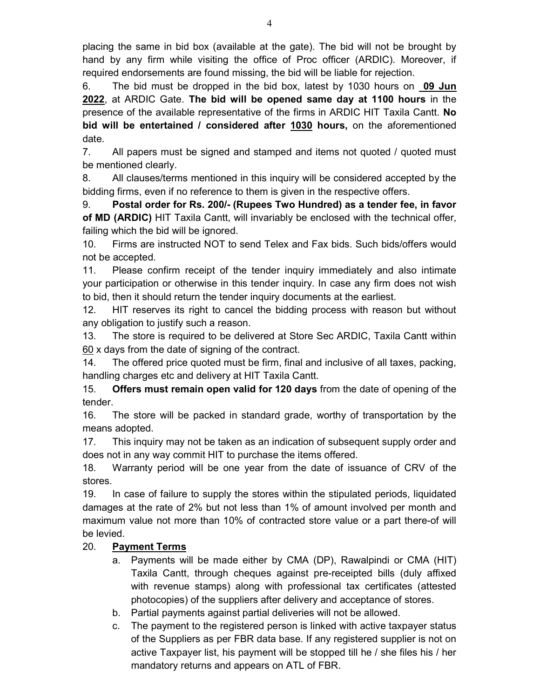placing the same in bid box (available at the gate). The bid will not be brought by hand by any firm while visiting the office of Proc officer (ARDIC). Moreover, if required endorsements are found missing, the bid will be liable for rejection.

6. The bid must be dropped in the bid box, latest by 1030 hours on 09 Jun 2022, at ARDIC Gate. The bid will be opened same day at 1100 hours in the presence of the available representative of the firms in ARDIC HIT Taxila Cantt. No bid will be entertained / considered after 1030 hours, on the aforementioned date.

7. All papers must be signed and stamped and items not quoted / quoted must be mentioned clearly.

8. All clauses/terms mentioned in this inquiry will be considered accepted by the bidding firms, even if no reference to them is given in the respective offers.

9. Postal order for Rs. 200/- (Rupees Two Hundred) as a tender fee, in favor of MD (ARDIC) HIT Taxila Cantt, will invariably be enclosed with the technical offer, failing which the bid will be ignored.

10. Firms are instructed NOT to send Telex and Fax bids. Such bids/offers would not be accepted.

11. Please confirm receipt of the tender inquiry immediately and also intimate your participation or otherwise in this tender inquiry. In case any firm does not wish to bid, then it should return the tender inquiry documents at the earliest.

12. HIT reserves its right to cancel the bidding process with reason but without any obligation to justify such a reason.

13. The store is required to be delivered at Store Sec ARDIC, Taxila Cantt within 60 x days from the date of signing of the contract.

14. The offered price quoted must be firm, final and inclusive of all taxes, packing, handling charges etc and delivery at HIT Taxila Cantt.

15. Offers must remain open valid for 120 days from the date of opening of the tender.

16. The store will be packed in standard grade, worthy of transportation by the means adopted.

17. This inquiry may not be taken as an indication of subsequent supply order and does not in any way commit HIT to purchase the items offered.

18. Warranty period will be one year from the date of issuance of CRV of the stores.

19. In case of failure to supply the stores within the stipulated periods, liquidated damages at the rate of 2% but not less than 1% of amount involved per month and maximum value not more than 10% of contracted store value or a part there-of will be levied.

# 20. Payment Terms

- a. Payments will be made either by CMA (DP), Rawalpindi or CMA (HIT) Taxila Cantt, through cheques against pre-receipted bills (duly affixed with revenue stamps) along with professional tax certificates (attested photocopies) of the suppliers after delivery and acceptance of stores.
- b. Partial payments against partial deliveries will not be allowed.
- c. The payment to the registered person is linked with active taxpayer status of the Suppliers as per FBR data base. If any registered supplier is not on active Taxpayer list, his payment will be stopped till he / she files his / her mandatory returns and appears on ATL of FBR.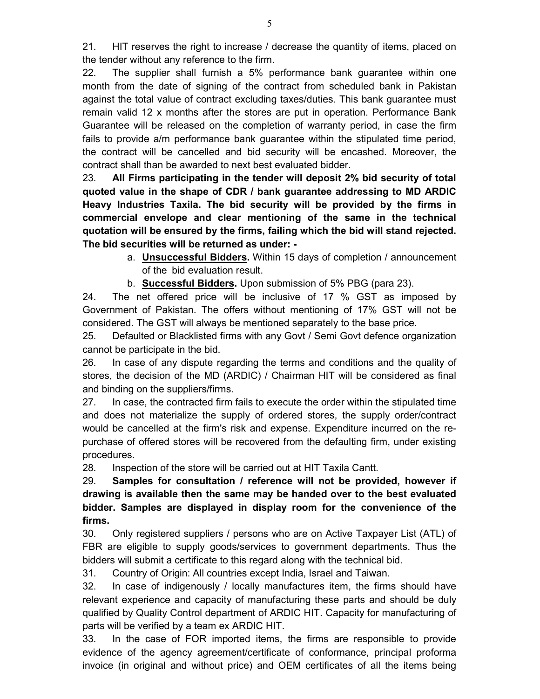21. HIT reserves the right to increase / decrease the quantity of items, placed on the tender without any reference to the firm.

22. The supplier shall furnish a 5% performance bank guarantee within one month from the date of signing of the contract from scheduled bank in Pakistan against the total value of contract excluding taxes/duties. This bank guarantee must remain valid 12 x months after the stores are put in operation. Performance Bank Guarantee will be released on the completion of warranty period, in case the firm fails to provide a/m performance bank guarantee within the stipulated time period, the contract will be cancelled and bid security will be encashed. Moreover, the contract shall than be awarded to next best evaluated bidder.

23. All Firms participating in the tender will deposit 2% bid security of total quoted value in the shape of CDR / bank guarantee addressing to MD ARDIC Heavy Industries Taxila. The bid security will be provided by the firms in commercial envelope and clear mentioning of the same in the technical quotation will be ensured by the firms, failing which the bid will stand rejected. The bid securities will be returned as under: -

- a. **Unsuccessful Bidders**. Within 15 days of completion / announcement of the bid evaluation result.
- b. Successful Bidders. Upon submission of 5% PBG (para 23).

24. The net offered price will be inclusive of 17 % GST as imposed by Government of Pakistan. The offers without mentioning of 17% GST will not be considered. The GST will always be mentioned separately to the base price.

25. Defaulted or Blacklisted firms with any Govt / Semi Govt defence organization cannot be participate in the bid.

26. In case of any dispute regarding the terms and conditions and the quality of stores, the decision of the MD (ARDIC) / Chairman HIT will be considered as final and binding on the suppliers/firms.

27. In case, the contracted firm fails to execute the order within the stipulated time and does not materialize the supply of ordered stores, the supply order/contract would be cancelled at the firm's risk and expense. Expenditure incurred on the repurchase of offered stores will be recovered from the defaulting firm, under existing procedures.

28. Inspection of the store will be carried out at HIT Taxila Cantt.

29. Samples for consultation / reference will not be provided, however if drawing is available then the same may be handed over to the best evaluated bidder. Samples are displayed in display room for the convenience of the firms.

30. Only registered suppliers / persons who are on Active Taxpayer List (ATL) of FBR are eligible to supply goods/services to government departments. Thus the bidders will submit a certificate to this regard along with the technical bid.

31. Country of Origin: All countries except India, Israel and Taiwan.

32. In case of indigenously / locally manufactures item, the firms should have relevant experience and capacity of manufacturing these parts and should be duly qualified by Quality Control department of ARDIC HIT. Capacity for manufacturing of parts will be verified by a team ex ARDIC HIT.

33. In the case of FOR imported items, the firms are responsible to provide evidence of the agency agreement/certificate of conformance, principal proforma invoice (in original and without price) and OEM certificates of all the items being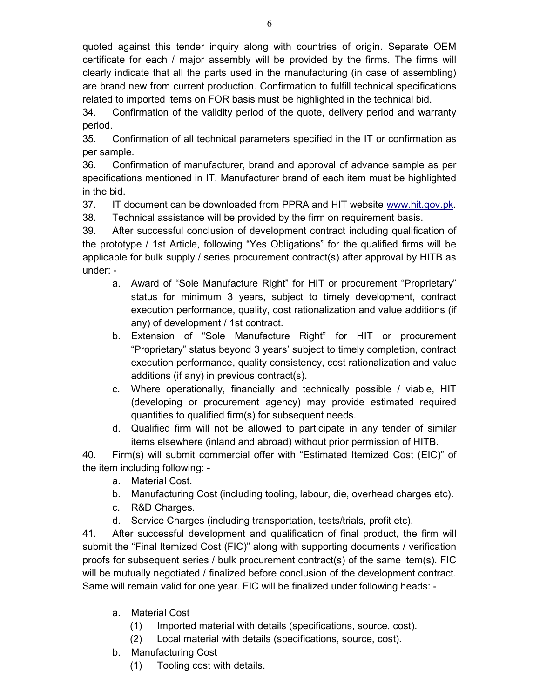quoted against this tender inquiry along with countries of origin. Separate OEM certificate for each / major assembly will be provided by the firms. The firms will clearly indicate that all the parts used in the manufacturing (in case of assembling) are brand new from current production. Confirmation to fulfill technical specifications related to imported items on FOR basis must be highlighted in the technical bid.

34. Confirmation of the validity period of the quote, delivery period and warranty period.

35. Confirmation of all technical parameters specified in the IT or confirmation as per sample.

36. Confirmation of manufacturer, brand and approval of advance sample as per specifications mentioned in IT. Manufacturer brand of each item must be highlighted in the bid.

37. IT document can be downloaded from PPRA and HIT website www.hit.gov.pk. 38. Technical assistance will be provided by the firm on requirement basis.

39. After successful conclusion of development contract including qualification of the prototype / 1st Article, following "Yes Obligations" for the qualified firms will be applicable for bulk supply / series procurement contract(s) after approval by HITB as under: -

- a. Award of "Sole Manufacture Right" for HIT or procurement "Proprietary" status for minimum 3 years, subject to timely development, contract execution performance, quality, cost rationalization and value additions (if any) of development / 1st contract.
- b. Extension of "Sole Manufacture Right" for HIT or procurement "Proprietary" status beyond 3 years' subject to timely completion, contract execution performance, quality consistency, cost rationalization and value additions (if any) in previous contract(s).
- c. Where operationally, financially and technically possible / viable, HIT (developing or procurement agency) may provide estimated required quantities to qualified firm(s) for subsequent needs.
- d. Qualified firm will not be allowed to participate in any tender of similar items elsewhere (inland and abroad) without prior permission of HITB.

40. Firm(s) will submit commercial offer with "Estimated Itemized Cost (EIC)" of the item including following: -

- a. Material Cost.
- b. Manufacturing Cost (including tooling, labour, die, overhead charges etc).
- c. R&D Charges.
- d. Service Charges (including transportation, tests/trials, profit etc).

41. After successful development and qualification of final product, the firm will submit the "Final Itemized Cost (FIC)" along with supporting documents / verification proofs for subsequent series / bulk procurement contract(s) of the same item(s). FIC will be mutually negotiated / finalized before conclusion of the development contract. Same will remain valid for one year. FIC will be finalized under following heads: -

- a. Material Cost
	- (1) Imported material with details (specifications, source, cost).
	- (2) Local material with details (specifications, source, cost).
- b. Manufacturing Cost
	- (1) Tooling cost with details.